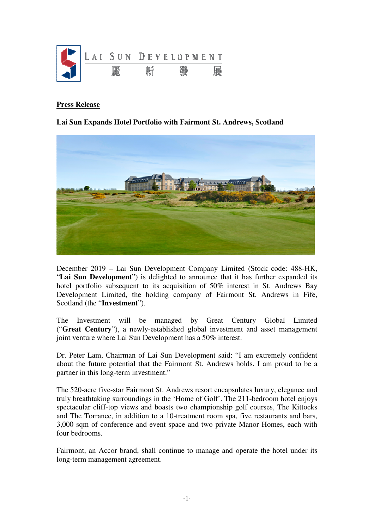

## **Press Release**

## **Lai Sun Expands Hotel Portfolio with Fairmont St. Andrews, Scotland**



December 2019 – Lai Sun Development Company Limited (Stock code: 488-HK, "**Lai Sun Development**") is delighted to announce that it has further expanded its hotel portfolio subsequent to its acquisition of 50% interest in St. Andrews Bay Development Limited, the holding company of Fairmont St. Andrews in Fife, Scotland (the "**Investment**").

The Investment will be managed by Great Century Global Limited ("**Great Century**"), a newly-established global investment and asset management joint venture where Lai Sun Development has a 50% interest.

Dr. Peter Lam, Chairman of Lai Sun Development said: "I am extremely confident about the future potential that the Fairmont St. Andrews holds. I am proud to be a partner in this long-term investment."

The 520-acre five-star Fairmont St. Andrews resort encapsulates luxury, elegance and truly breathtaking surroundings in the 'Home of Golf'. The 211-bedroom hotel enjoys spectacular cliff-top views and boasts two championship golf courses, The Kittocks and The Torrance, in addition to a 10-treatment room spa, five restaurants and bars, 3,000 sqm of conference and event space and two private Manor Homes, each with four bedrooms.

Fairmont, an Accor brand, shall continue to manage and operate the hotel under its long-term management agreement.